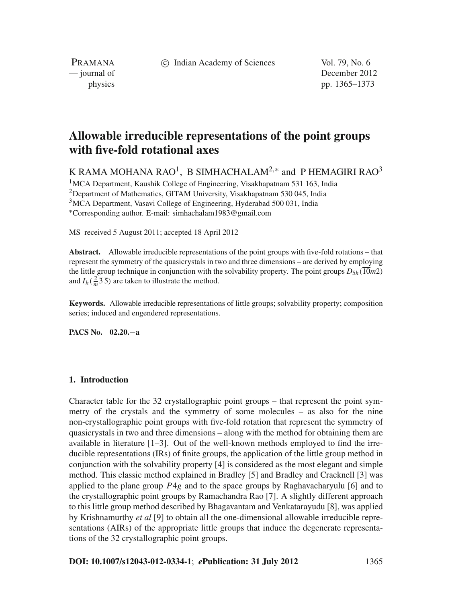c Indian Academy of Sciences Vol. 79, No. 6

PRAMANA

— journal of December 2012 physics pp. 1365–1373

# **Allowable irreducible representations of the point groups with five-fold rotational axes**

K RAMA MOHANA RAO<sup>1</sup>, B SIMHACHALAM<sup>2,\*</sup> and P HEMAGIRI RAO<sup>3</sup> <sup>1</sup>MCA Department, Kaushik College of Engineering, Visakhapatnam 531 163, India

<sup>2</sup>Department of Mathematics, GITAM University, Visakhapatnam 530 045, India <sup>3</sup>MCA Department, Vasavi College of Engineering, Hyderabad 500 031, India <sup>∗</sup>Corresponding author. E-mail: simhachalam1983@gmail.com

MS received 5 August 2011; accepted 18 April 2012

**Abstract.** Allowable irreducible representations of the point groups with five-fold rotations – that represent the symmetry of the quasicrystals in two and three dimensions – are derived by employing the little group technique in conjunction with the solvability property. The point groups  $D_{5h}(\overline{10}m2)$ and  $I_h(\frac{2}{m}\overline{3}\overline{5})$  are taken to illustrate the method.

**Keywords.** Allowable irreducible representations of little groups; solvability property; composition series; induced and engendered representations.

**PACS No. 02.20.**−**a**

### **1. Introduction**

Character table for the 32 crystallographic point groups – that represent the point symmetry of the crystals and the symmetry of some molecules – as also for the nine non-crystallographic point groups with five-fold rotation that represent the symmetry of quasicrystals in two and three dimensions – along with the method for obtaining them are available in literature  $[1-3]$ . Out of the well-known methods employed to find the irreducible representations (IRs) of finite groups, the application of the little group method in conjunction with the solvability property [4] is considered as the most elegant and simple method. This classic method explained in Bradley [5] and Bradley and Cracknell [3] was applied to the plane group *P*4*g* and to the space groups by Raghavacharyulu [6] and to the crystallographic point groups by Ramachandra Rao [7]. A slightly different approach to this little group method described by Bhagavantam and Venkatarayudu [8], was applied by Krishnamurthy *et al* [9] to obtain all the one-dimensional allowable irreducible representations (AIRs) of the appropriate little groups that induce the degenerate representations of the 32 crystallographic point groups.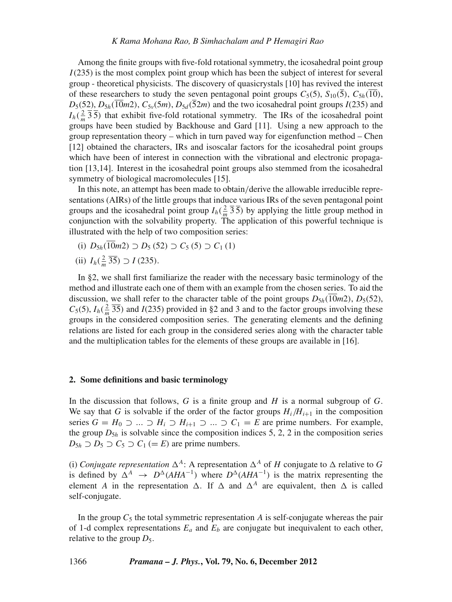Among the finite groups with five-fold rotational symmetry, the icosahedral point group *I*(235) is the most complex point group which has been the subject of interest for several group - theoretical physicists. The discovery of quasicrystals [10] has revived the interest of these researchers to study the seven pentagonal point groups  $C_5(5)$ ,  $S_{10}(5)$ ,  $C_{5h}(10)$ ,  $D_5(52)$ ,  $D_{5h}(\overline{10}m2)$ ,  $C_{5v}(5m)$ ,  $D_{5d}(\overline{52}m)$  and the two icosahedral point groups *I*(235) and  $I_h(\frac{2}{m}\overline{3}\overline{5})$  that exhibit five-fold rotational symmetry. The IRs of the icosahedral point groups have been studied by Backhouse and Gard [11]. Using a new approach to the group representation theory – which in turn paved way for eigenfunction method – Chen [12] obtained the characters, IRs and isoscalar factors for the icosahedral point groups which have been of interest in connection with the vibrational and electronic propagation [13,14]. Interest in the icosahedral point groups also stemmed from the icosahedral symmetry of biological macromolecules [15].

In this note, an attempt has been made to obtain/derive the allowable irreducible representations (AIRs) of the little groups that induce various IRs of the seven pentagonal point groups and the icosahedral point group  $I_h(\frac{2}{m}\bar{3}\bar{5})$  by applying the little group method in conjunction with the solvability property. The application of this powerful technique is illustrated with the help of two composition series:

(i)  $D_{5h}(\overline{10}m2)$  ⊃  $D_5$  (52) ⊃  $C_5$  (5) ⊃  $C_1$  (1)

(ii) 
$$
I_h(\frac{2}{m}\overline{35}) \supset I(235)
$$
.

In §2, we shall first familiarize the reader with the necessary basic terminology of the method and illustrate each one of them with an example from the chosen series. To aid the discussion, we shall refer to the character table of the point groups  $D_{5h}(10m2)$ ,  $D_{5}(52)$ ,  $C_5(5)$ ,  $I_h(\frac{2}{m}\overline{35})$  and *I*(235) provided in §2 and 3 and to the factor groups involving these groups in the considered composition series. The generating elements and the defining relations are listed for each group in the considered series along with the character table and the multiplication tables for the elements of these groups are available in [16].

#### **2. Some definitions and basic terminology**

In the discussion that follows, *G* is a finite group and *H* is a normal subgroup of *G*. We say that *G* is solvable if the order of the factor groups  $H_i/H_{i+1}$  in the composition series  $G = H_0 \supset ... \supset H_i \supset H_{i+1} \supset ... \supset C_1 = E$  are prime numbers. For example, the group  $D_{5h}$  is solvable since the composition indices 5, 2, 2 in the composition series  $D_{5h} \supset D_5 \supset C_5 \supset C_1 (= E)$  are prime numbers.

(i) *Conjugate representation*  $\Delta^A$ : A representation  $\Delta^A$  of *H* conjugate to  $\Delta$  relative to *G* is defined by  $\Delta^A \rightarrow D^{\Delta}(AHA^{-1})$  where  $D^{\Delta}(AHA^{-1})$  is the matrix representing the element *A* in the representation  $\Delta$ . If  $\Delta$  and  $\Delta^A$  are equivalent, then  $\Delta$  is called self-conjugate.

In the group  $C_5$  the total symmetric representation  $\vec{A}$  is self-conjugate whereas the pair of 1-d complex representations  $E_a$  and  $E_b$  are conjugate but inequivalent to each other, relative to the group  $D_5$ .

1366 *Pramana – J. Phys.***, Vol. 79, No. 6, December 2012**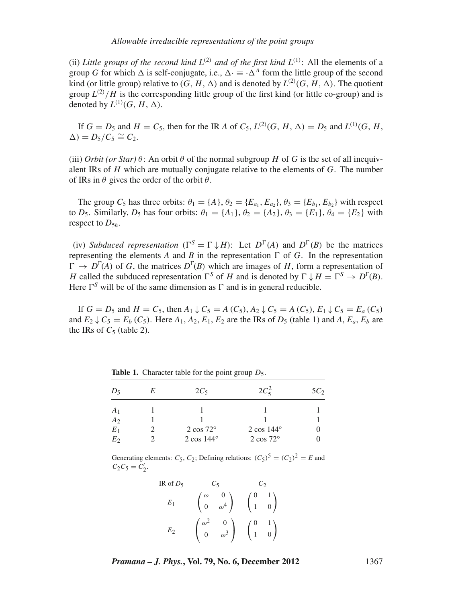(ii) *Little groups of the second kind*  $L^{(2)}$  *and of the first kind*  $L^{(1)}$ : All the elements of a group *G* for which  $\Delta$  is self-conjugate, i.e.,  $\Delta \cdot \equiv \cdot \Delta^A$  form the little group of the second kind (or little group) relative to  $(G, H, \Delta)$  and is denoted by  $L^{(2)}(G, H, \Delta)$ . The quotient group  $L^{(2)}/H$  is the corresponding little group of the first kind (or little co-group) and is denoted by  $L^{(1)}(G, H, \Delta)$ .

If  $G = D_5$  and  $H = C_5$ , then for the IR *A* of  $C_5$ ,  $L^{(2)}(G, H, \Delta) = D_5$  and  $L^{(1)}(G, H, \Delta)$  $\Delta$ ) =  $D_5/C_5 \cong C_2$ .

(iii) *Orbit (or Star)*  $\theta$ : An orbit  $\theta$  of the normal subgroup *H* of *G* is the set of all inequivalent IRs of *H* which are mutually conjugate relative to the elements of *G*. The number of IRs in  $\theta$  gives the order of the orbit  $\theta$ .

The group  $C_5$  has three orbits:  $\theta_1 = \{A\}, \theta_2 = \{E_{a_1}, E_{a_2}\}, \theta_3 = \{E_{b_1}, E_{b_2}\}$  with respect to  $D_5$ . Similarly,  $D_5$  has four orbits:  $\theta_1 = \{A_1\}$ ,  $\theta_2 = \{A_2\}$ ,  $\theta_3 = \{E_1\}$ ,  $\theta_4 = \{E_2\}$  with respect to  $D_{5h}$ .

(iv) *Subduced representation* ( $\Gamma^{S} = \Gamma \downarrow H$ ): Let  $D^{\Gamma}(A)$  and  $D^{\Gamma}(B)$  be the matrices representing the elements A and B in the representation  $\Gamma$  of G. In the representation  $\Gamma \to D^{\Gamma}(A)$  of *G*, the matrices  $D^{\Gamma}(B)$  which are images of *H*, form a representation of *H* called the subduced representation  $\Gamma^S$  of *H* and is denoted by  $\Gamma \downarrow H = \Gamma^S \rightarrow D^{\Gamma}(B)$ . Here  $\Gamma^S$  will be of the same dimension as  $\Gamma$  and is in general reducible.

If  $G = D_5$  and  $H = C_5$ , then  $A_1 \downarrow C_5 = A(C_5)$ ,  $A_2 \downarrow C_5 = A(C_5)$ ,  $E_1 \downarrow C_5 = E_a(C_5)$ and  $E_2 \downarrow C_5 = E_b (C_5)$ . Here  $A_1, A_2, E_1, E_2$  are the IRs of  $D_5$  (table 1) and  $A, E_a, E_b$  are the IRs of  $C_5$  (table 2).

| $D_5$           | E | $2C_5$             | $2C_5^2$           | $5C_2$ |
|-----------------|---|--------------------|--------------------|--------|
|                 |   |                    |                    |        |
| $A_1$<br>$A_2$  |   |                    |                    |        |
| $\mathcal{E}_1$ |   | $2 \cos 72^\circ$  | $2 \cos 144^\circ$ |        |
| $E_2$           |   | $2 \cos 144^\circ$ | $2 \cos 72^\circ$  |        |

**Table 1.** Character table for the point group  $D_5$ .

Generating elements:  $C_5$ ,  $C_2$ ; Defining relations:  $(C_5)^5 = (C_2)^2 = E$  and  $C_2C_5 = C'_2.$ 

| IR of $D_5$ |            |                                                            |                                                |  |
|-------------|------------|------------------------------------------------------------|------------------------------------------------|--|
| $E_1$       |            | $\begin{pmatrix} \omega & 0 \\ 0 & \omega^4 \end{pmatrix}$ | $\begin{pmatrix} 1 & 0 \end{pmatrix}$          |  |
| Ŀ٦          | $\omega^2$ | $\begin{pmatrix} 0 \\ \omega^3 \end{pmatrix}$              | $\begin{pmatrix} 0 & 1 \\ 1 & 0 \end{pmatrix}$ |  |

*Pramana – J. Phys.***, Vol. 79, No. 6, December 2012** 1367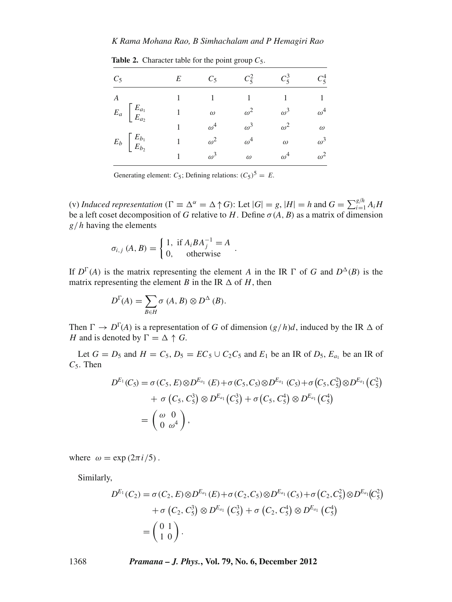# *K Rama Mohana Rao, B Simhachalam and P Hemagiri Rao*

| $C_5$                                                    | E | $C_5$      | $C_5^2$    | $C_5^3$    | $C_5^4$    |
|----------------------------------------------------------|---|------------|------------|------------|------------|
| $\boldsymbol{A}$                                         |   |            |            |            |            |
| $E_a$ $\begin{bmatrix} E_{a_1} \\ E_{a_2} \end{bmatrix}$ |   | $\omega$   | $\omega^2$ | $\omega^3$ | $\omega^4$ |
|                                                          |   | $\omega^4$ | $\omega^3$ | $\omega^2$ | $\omega$   |
| $E_b$ $\begin{bmatrix} E_{b_1} \\ E_{b_2} \end{bmatrix}$ |   | $\omega^2$ | $\omega^4$ | $\omega$   | $\omega^3$ |
|                                                          |   | $\omega^3$ | $\omega$   | $\omega^4$ | $\omega^2$ |

**Table 2.** Character table for the point group  $C_5$ .

Generating element:  $C_5$ ; Defining relations:  $(C_5)^5 = E$ .

(v) *Induced representation* ( $\Gamma \equiv \Delta^{\alpha} = \Delta \uparrow G$ ): Let  $|G| = g$ ,  $|H| = h$  and  $G = \sum_{i=1}^{g/h} A_i H$ be a left coset decomposition of *G* relative to *H*. Define  $\sigma(A, B)$  as a matrix of dimension *g*/*h* having the elements

$$
\sigma_{i,j}(A,B) = \begin{cases} 1, & \text{if } A_i B A_j^{-1} = A \\ 0, & \text{otherwise} \end{cases}.
$$

If  $D^{\Gamma}(A)$  is the matrix representing the element *A* in the IR  $\Gamma$  of *G* and  $D^{\Delta}(B)$  is the matrix representing the element *B* in the IR  $\Delta$  of *H*, then

$$
D^{\Gamma}(A) = \sum_{B \in H} \sigma(A, B) \otimes D^{\Delta}(B).
$$

Then  $\Gamma \to D^{\Gamma}(A)$  is a representation of *G* of dimension  $(g/h)d$ , induced by the IR  $\Delta$  of *H* and is denoted by  $\Gamma = \Delta \uparrow G$ .

Let  $G = D_5$  and  $H = C_5$ ,  $D_5 = EC_5 \cup C_2C_5$  and  $E_1$  be an IR of  $D_5$ ,  $E_{a_1}$  be an IR of *C*5. Then

$$
D^{E_1}(C_5) = \sigma(C_5, E) \otimes D^{E_{a_1}}(E) + \sigma(C_5, C_5) \otimes D^{E_{a_1}}(C_5) + \sigma(C_5, C_5^2) \otimes D^{E_{a_1}}(C_5^2) + \sigma(C_5, C_5^3) \otimes D^{E_{a_1}}(C_5^3) + \sigma(C_5, C_5^4) \otimes D^{E_{a_1}}(C_5^4) = \begin{pmatrix} \omega & 0 \\ 0 & \omega^4 \end{pmatrix},
$$

where  $\omega = \exp(2\pi i/5)$ .

Similarly,

$$
D^{E_1}(C_2) = \sigma(C_2, E) \otimes D^{E_{a_1}}(E) + \sigma(C_2, C_5) \otimes D^{E_{a_1}}(C_5) + \sigma(C_2, C_5^2) \otimes D^{E_{a_1}}(C_5^2) + \sigma(C_2, C_5^3) \otimes D^{E_{a_1}}(C_5^3) + \sigma(C_2, C_5^4) \otimes D^{E_{a_1}}(C_5^4) = \begin{pmatrix} 0 & 1 \\ 1 & 0 \end{pmatrix}.
$$

1368 *Pramana – J. Phys.***, Vol. 79, No. 6, December 2012**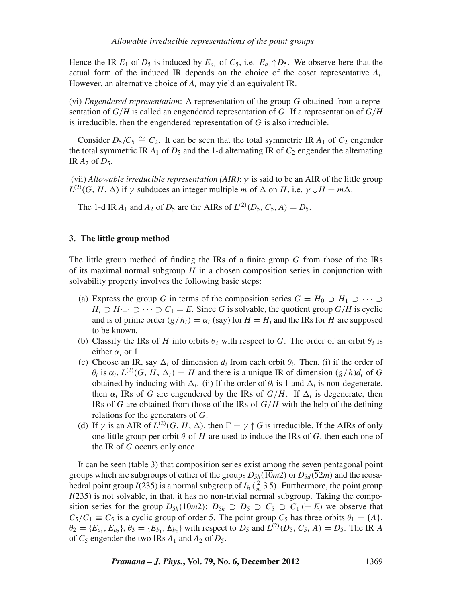Hence the IR  $E_1$  of  $D_5$  is induced by  $E_{a_1}$  of  $C_5$ , i.e.  $E_{a_1} \uparrow D_5$ . We observe here that the actual form of the induced IR depends on the choice of the coset representative  $A_i$ . However, an alternative choice of *Ai* may yield an equivalent IR.

(vi) *Engendered representation*: A representation of the group *G* obtained from a representation of *G*/*H* is called an engendered representation of *G*. If a representation of *G*/*H* is irreducible, then the engendered representation of *G* is also irreducible.

Consider  $D_5/C_5 \cong C_2$ . It can be seen that the total symmetric IR  $A_1$  of  $C_2$  engender the total symmetric IR  $A_1$  of  $D_5$  and the 1-d alternating IR of  $C_2$  engender the alternating IR *A*<sup>2</sup> of *D*5.

(vii) *Allowable irreducible representation (AIR)*: γ is said to be an AIR of the little group  $L^{(2)}(G, H, \Delta)$  if  $\gamma$  subduces an integer multiple *m* of  $\Delta$  on *H*, i.e.  $\gamma \downarrow H = m\Delta$ .

The 1-d IR  $A_1$  and  $A_2$  of  $D_5$  are the AIRs of  $L^{(2)}(D_5, C_5, A) = D_5$ .

# **3. The little group method**

The little group method of finding the IRs of a finite group *G* from those of the IRs of its maximal normal subgroup *H* in a chosen composition series in conjunction with solvability property involves the following basic steps:

- (a) Express the group *G* in terms of the composition series  $G = H_0 \supset H_1 \supset \cdots \supset$ *H*<sub>i</sub> ⊃ *H*<sub>i+1</sub> ⊃ ··· ⊃ *C*<sub>1</sub> = *E*. Since *G* is solvable, the quotient group *G*/*H* is cyclic and is of prime order  $(g/h_i) = \alpha_i$  (say) for  $H = H_i$  and the IRs for *H* are supposed to be known.
- (b) Classify the IRs of *H* into orbits  $\theta_i$  with respect to *G*. The order of an orbit  $\theta_i$  is either  $\alpha_i$  or 1.
- (c) Choose an IR, say  $\Delta_i$  of dimension  $d_i$  from each orbit  $\theta_i$ . Then, (i) if the order of  $\theta_i$  is  $\alpha_i$ ,  $L^{(2)}(G, H, \Delta_i) = H$  and there is a unique IR of dimension  $(g/h)d_i$  of G obtained by inducing with  $\Delta_i$ . (ii) If the order of  $\theta_i$  is 1 and  $\Delta_i$  is non-degenerate, then  $\alpha_i$  IRs of *G* are engendered by the IRs of  $G/H$ . If  $\Delta_i$  is degenerate, then IRs of *G* are obtained from those of the IRs of *G*/*H* with the help of the defining relations for the generators of *G*.
- (d) If  $\gamma$  is an AIR of  $L^{(2)}(G, H, \Delta)$ , then  $\Gamma = \gamma \uparrow G$  is irreducible. If the AIRs of only one little group per orbit  $\theta$  of  $H$  are used to induce the IRs of  $G$ , then each one of the IR of *G* occurs only once.

It can be seen (table 3) that composition series exist among the seven pentagonal point groups which are subgroups of either of the groups  $D_{5h}(10m2)$  or  $D_{5d}(52m)$  and the icosahedral point group *I*(235) is a normal subgroup of  $I_h$  ( $\frac{2}{m}$   $\overline{3}$ ). Furthermore, the point group *I*(235) is not solvable, in that, it has no non-trivial normal subgroup. Taking the composition series for the group  $D_{5h}(\overline{10}m2)$ :  $D_{5h} \supset D_5 \supset C_5 \supset C_1 (= E)$  we observe that  $C_5/C_1 \equiv C_5$  is a cyclic group of order 5. The point group  $C_5$  has three orbits  $\theta_1 = \{A\}$ ,  $\theta_2 = \{E_{a_1}, E_{a_2}\}, \theta_3 = \{E_{b_1}, E_{b_2}\}$  with respect to  $D_5$  and  $L^{(2)}(D_5, C_5, A) = D_5$ . The IR A of  $C_5$  engender the two IRs  $A_1$  and  $A_2$  of  $D_5$ .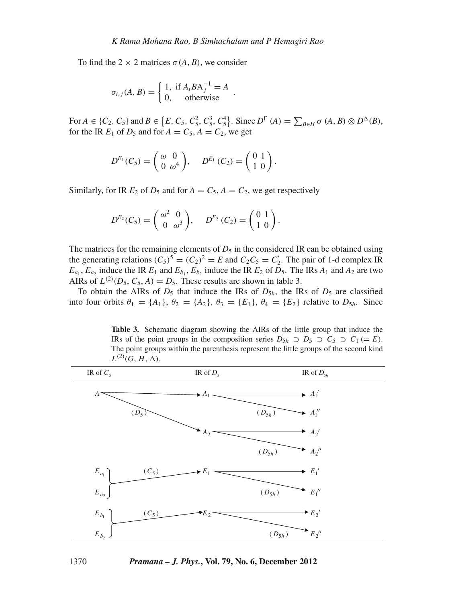To find the  $2 \times 2$  matrices  $\sigma(A, B)$ , we consider

$$
\sigma_{i,j}(A, B) = \begin{cases} 1, & \text{if } A_i B A_j^{-1} = A \\ 0, & \text{otherwise} \end{cases}.
$$

For  $A \in \{C_2, C_5\}$  and  $B \in \{E, C_5, C_5^2, C_5^3, C_5^4\}$ . Since  $D^{\Gamma}(A) = \sum_{B \in H} \sigma(A, B) \otimes D^{\Delta}(B)$ , for the IR  $E_1$  of  $D_5$  and for  $A = C_5$ ,  $A = C_2$ , we get

$$
D^{E_1}(C_5)=\begin{pmatrix} \omega & 0 \\ 0 & \omega^4 \end{pmatrix}, \quad D^{E_1}(C_2)=\begin{pmatrix} 0 & 1 \\ 1 & 0 \end{pmatrix}.
$$

Similarly, for IR  $E_2$  of  $D_5$  and for  $A = C_5$ ,  $A = C_2$ , we get respectively

$$
D^{E_2}(C_5) = \begin{pmatrix} \omega^2 & 0 \\ 0 & \omega^3 \end{pmatrix}, \quad D^{E_2}(C_2) = \begin{pmatrix} 0 & 1 \\ 1 & 0 \end{pmatrix}.
$$

The matrices for the remaining elements of  $D_5$  in the considered IR can be obtained using the generating relations  $(C_5)^5 = (C_2)^2 = E$  and  $C_2C_5 = C'_2$ . The pair of 1-d complex IR  $E_{a_1}$ ,  $E_{a_2}$  induce the IR  $E_1$  and  $E_{b_1}$ ,  $E_{b_2}$  induce the IR  $E_2$  of  $D_5$ . The IRs  $A_1$  and  $A_2$  are two AIRs of  $L^{(2)}(D_5, C_5, A) = D_5$ . These results are shown in table 3.

To obtain the AIRs of  $D_5$  that induce the IRs of  $D_{5h}$ , the IRs of  $D_5$  are classified into four orbits  $\theta_1 = \{A_1\}, \theta_2 = \{A_2\}, \theta_3 = \{E_1\}, \theta_4 = \{E_2\}$  relative to  $D_{5h}$ . Since

**Table 3.** Schematic diagram showing the AIRs of the little group that induce the IRs of the point groups in the composition series  $D_{5h} \supset D_5 \supset C_5 \supset C_1 (= E)$ . The point groups within the parenthesis represent the little groups of the second kind  $L^{(2)}(G, H, \Delta)$ .

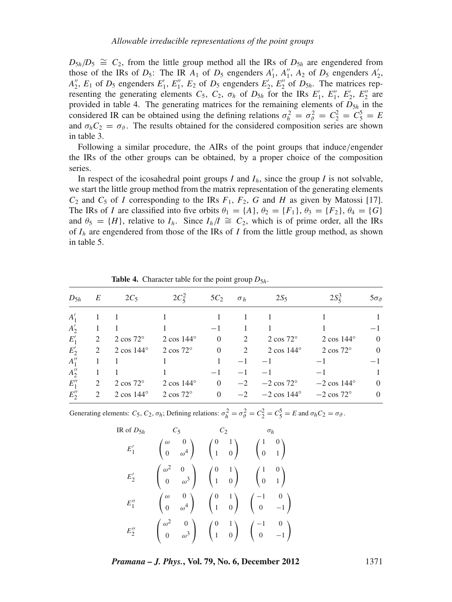$D_{5h}/D_5 \cong C_2$ , from the little group method all the IRs of  $D_{5h}$  are engendered from those of the IRs of  $D_5$ : The IR  $A_1$  of  $D_5$  engenders  $A'_1$ ,  $A''_1$ ,  $A_2$  of  $D_5$  engenders  $A'_2$ ,  $A_2''$ ,  $E_1$  of  $D_5$  engenders  $E_1'$ ,  $E_1''$ ,  $E_2$  of  $D_5$  engenders  $E_2'$ ,  $E_2''$  of  $D_{5h}$ . The matrices representing the generating elements  $C_5$ ,  $C_2$ ,  $\sigma_h$  of  $D_{5h}$  for the IRs  $E'_1$ ,  $E'_1$ ,  $E'_2$ ,  $E''_2$  are provided in table 4. The generating matrices for the remaining elements of  $D_{5h}$  in the considered IR can be obtained using the defining relations  $\sigma_h^2 = \sigma_v^2 = C_2^2 = C_5^5 = E$ and  $\sigma_h C_2 = \sigma_{\vartheta}$ . The results obtained for the considered composition series are shown in table 3.

Following a similar procedure, the AIRs of the point groups that induce/engender the IRs of the other groups can be obtained, by a proper choice of the composition series.

In respect of the icosahedral point groups  $I$  and  $I<sub>h</sub>$ , since the group  $I$  is not solvable, we start the little group method from the matrix representation of the generating elements  $C_2$  and  $C_5$  of *I* corresponding to the IRs  $F_1$ ,  $F_2$ ,  $G$  and  $H$  as given by Matossi [17]. The IRs of *I* are classified into five orbits  $\theta_1 = \{A\}, \theta_2 = \{F_1\}, \theta_3 = \{F_2\}, \theta_4 = \{G\}$ and  $\theta_5 = \{H\}$ , relative to  $I_h$ . Since  $I_h/I \cong C_2$ , which is of prime order, all the IRs of  $I_h$  are engendered from those of the IRs of *I* from the little group method, as shown in table 5.

| $D_{5h}$ | E              | $2C_5$             | $2C_5^2$           | $5C_2$         | $\sigma_h$ | $2S_5$              | $2S_5^3$            | $5\sigma_{\theta}$ |
|----------|----------------|--------------------|--------------------|----------------|------------|---------------------|---------------------|--------------------|
| $A_1'$   |                |                    |                    |                |            |                     |                     |                    |
| $A'_{2}$ |                |                    |                    | $-1$           |            |                     |                     | -1                 |
| $E'_{1}$ | 2              | $2 \cos 72^\circ$  | $2 \cos 144^\circ$ | $\Omega$       | 2          | $2 \cos 72^\circ$   | $2 \cos 144^\circ$  | $\overline{0}$     |
| $E'_{2}$ | 2              | $2 \cos 144^\circ$ | $2 \cos 72^\circ$  | $\overline{0}$ | 2          | $2 \cos 144^\circ$  | $2 \cos 72^\circ$   | $\theta$           |
| $A_1''$  |                |                    |                    |                | $-1$       | $-1$                | $-1$                | -1                 |
| $A''_2$  |                |                    |                    | $-1$           | $-1$       | $-1$                | $-1$                |                    |
| $E''_1$  | 2              | $2 \cos 72^\circ$  | $2 \cos 144^\circ$ | $\overline{0}$ | $-2$       | $-2 \cos 72^\circ$  | $-2 \cos 144^\circ$ | $\theta$           |
| $E_2''$  | $\mathfrak{D}$ | $2 \cos 144^\circ$ | $2 \cos 72^\circ$  | $\Omega$       | $-2$       | $-2 \cos 144^\circ$ | $-2 \cos 72^\circ$  | $\overline{0}$     |

**Table 4.** Character table for the point group  $D_{5h}$ .

Generating elements:  $C_5$ ,  $C_2$ ,  $\sigma_h$ ; Defining relations:  $\sigma_h^2 = \sigma_g^2 = C_2^2 = C_5^5 = E$  and  $\sigma_h C_2 = \sigma_g$ .

$$
IR of D_{5h} \n\begin{array}{c}\nC_5 \nC_2 \n\end{array}\n\begin{array}{c}\nC_1 \\
C_2 \\
C_3\n\end{array}\n\begin{array}{c}\nC_4 \\
C_5\n\end{array}\n\begin{array}{c}\nC_5 \n\end{array}\n\begin{array}{c}\nC_6 \n\end{array}\n\begin{array}{c}\nC_7 \n\end{array}\n\begin{array}{c}\n\sigma_h \\
\sigma_h\n\end{array}\n\end{array}
$$
\n
$$
E_1' \n\begin{array}{c}\n\sigma^2 \n\end{array}\n\begin{array}{c}\n\sigma^3 \n\end{array}\n\begin{array}{c}\n\sigma^4 \n\end{array}\n\begin{array}{c}\n\sigma^5 \n\end{array}\n\begin{array}{c}\n\sigma^6 \n\end{array}\n\begin{array}{c}\n\sigma^7 \n\end{array}\n\begin{array}{c}\n\sigma^7 \n\end{array}\n\begin{array}{c}\n\sigma^3 \n\end{array}\n\end{array}\n\begin{array}{c}\n\sigma^4 \n\end{array}\n\begin{array}{c}\n\sigma^5 \n\end{array}\n\begin{array}{c}\n\sigma^6 \n\end{array}\n\begin{array}{c}\n\sigma^7 \n\end{array}\n\begin{array}{c}\n\sigma^7 \n\end{array}\n\begin{array}{c}\n\sigma^7 \n\end{array}\n\end{array}\n\begin{array}{c}\n\sigma^7 \n\end{array}\n\begin{array}{c}\n\sigma^7 \n\end{array}\n\end{array}\n\begin{array}{c}\n\sigma^7 \n\end{array}\n\begin{array}{c}\n\sigma^7 \n\end{array}\n\begin{array}{c}\n\sigma^7 \n\end{array}\n\end{array}\n\begin{array}{c}\n\sigma^7 \n\end{array}\n\begin{array}{c}\n\sigma^8 \n\end{array}\n\end{array}\n\begin{array}{c}\n\sigma^8 \n\end{array}\n\begin{array}{c}\n\sigma^7 \n\end{array}\n\begin{array}{c}\n\sigma^8 \n\end{array}\n\end{array}\n\begin{array}{c}\n\sigma^8 \n\end{array}\n\end{array}
$$

*Pramana – J. Phys.***, Vol. 79, No. 6, December 2012** 1371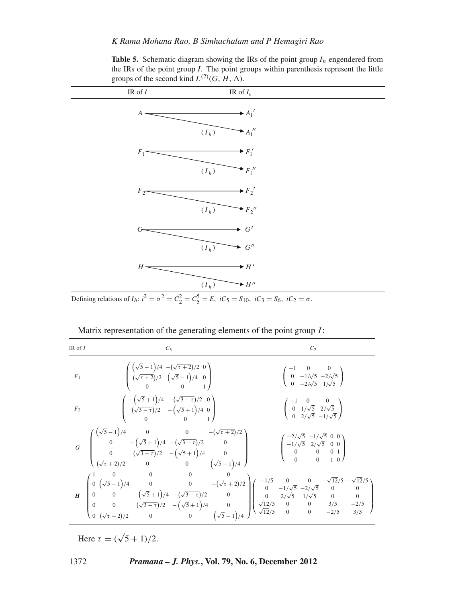**Table 5.** Schematic diagram showing the IRs of the point group  $I_h$  engendered from the IRs of the point group *I*. The point groups within parenthesis represent the little groups of the second kind  $L^{(2)}(G, H, \Delta)$ .

| IR of $\cal I$     | IR of $I_h$                                                                             |  |
|--------------------|-----------------------------------------------------------------------------------------|--|
| $A$ -              | $+A_1'$                                                                                 |  |
|                    | $+A_1''$<br>$(I_h)$                                                                     |  |
| $F_1$ <sup>-</sup> | $\rightarrow$ $F_1'$                                                                    |  |
|                    | $\rightarrow$ $F_1$ "<br>$(\boldsymbol{I}_h)$                                           |  |
| $F_2$              | $\rightarrow F_2'$                                                                      |  |
|                    | $\rightarrow$ $F_2$ "<br>$(I_h)$                                                        |  |
|                    | $\blacktriangleright$ G'                                                                |  |
|                    | $G^{\prime\prime}$<br>$(I_h)$                                                           |  |
| $H =$              | $\rightarrow$ H'                                                                        |  |
| $\sim$             | $\rightarrow$ H <sup>"</sup><br>$(\boldsymbol{I}_h)$<br>$\gamma$ $\gamma$<br>$\epsilon$ |  |

Defining relations of  $I_h$ :  $i^2 = \sigma^2 = C_2^2 = C_5^5 = E$ ,  $iC_5 = S_{10}$ ,  $iC_3 = S_6$ ,  $iC_2 = \sigma$ .

| IR of $I$      | $C_5$                                                                                                                                                                                                                                                                                                                                                                                                                                         | C <sub>2</sub>                                                                                                                                        |
|----------------|-----------------------------------------------------------------------------------------------------------------------------------------------------------------------------------------------------------------------------------------------------------------------------------------------------------------------------------------------------------------------------------------------------------------------------------------------|-------------------------------------------------------------------------------------------------------------------------------------------------------|
| F <sub>1</sub> | $\left(\begin{array}{cc} \left(\sqrt{5}-1\right)/4 & -\left(\sqrt{\tau+2}\right)/2 & 0 \\ \left(\sqrt{\tau+2}\right)/2 & \left(\sqrt{5}-1\right)/4 & 0 \\ 0 & 0 & 1 \end{array}\right)$                                                                                                                                                                                                                                                       | $\begin{pmatrix} -1 & 0 & 0 \\ 0 & -1/\sqrt{5} & -2/\sqrt{5} \\ 0 & -2/\sqrt{5} & 1/\sqrt{5} \end{pmatrix}$                                           |
| F <sub>2</sub> | $\left( \begin{array}{ccc} -\left( \sqrt{5}+1 \right) /4 & -(\sqrt{3-\tau}) /2 & 0 \\ (\sqrt{3-\tau}) /2 & -\left( \sqrt{5}+1 \right) /4 & 0 \\ 0 & 0 & 1 \end{array} \right)$                                                                                                                                                                                                                                                                | $\left(\begin{array}{ccc} -1 & 0 & 0 \\ 0 & 1/\sqrt{5} & 2/\sqrt{5} \\ 0 & 2/\sqrt{5} & -1/\sqrt{5} \end{array}\right)$                               |
|                | $G \quad \left( \begin{matrix} \left(\sqrt{5}-1\right)/4 & 0 & 0 & -\left(\sqrt{\tau+2}\right)/2 \\ 0 & -\left(\sqrt{5}+1\right)/4 & -\left(\sqrt{3}-\tau\right)/2 & 0 \\ 0 & \left(\sqrt{3}-\tau\right)/2 & -\left(\sqrt{5}+1\right)/4 & 0 \\ \left(\sqrt{\tau+2}\right)/2 & 0 & 0 & \left(\sqrt{5}-1\right)/4 \end{matrix} \right)$                                                                                                         | $\left(\begin{array}{ccc} -2/\sqrt{5} & -1/\sqrt{5} & 0 & 0 \\ -1/\sqrt{5} & 2/\sqrt{5} & 0 & 0 \\ 0 & 0 & 0 & 1 \\ 0 & 0 & 1 & 0 \end{array}\right)$ |
|                | $H\left( \begin{matrix} 1 & 0 & 0 & 0 & 0 \\ 0 & \left(\sqrt{5}-1\right)/4 & 0 & 0 & -\left(\sqrt{\tau+2}\right)/2 \\ 0 & 0 & -\left(\sqrt{5}+1\right)/4 & -\left(\sqrt{3}-\tau\right)/2 & 0 \\ 0 & 0 & \left(\sqrt{3}-\tau\right)/2 & -\left(\sqrt{5}+1\right)/4 & 0 \\ 0 & \left(\sqrt{\tau+2}\right)/2 & 0 & 0 & \left(\sqrt{5}-1\right)/4 \end{matrix} \right) \left( \begin{matrix} -1/5 & 0 & 0 & -\sqrt{12}/5 & -\sqrt{12}/5 \\ 0 & -$ |                                                                                                                                                       |

Matrix representation of the generating elements of the point group *I*:

Here  $\tau = (\sqrt{5} + 1)/2$ .